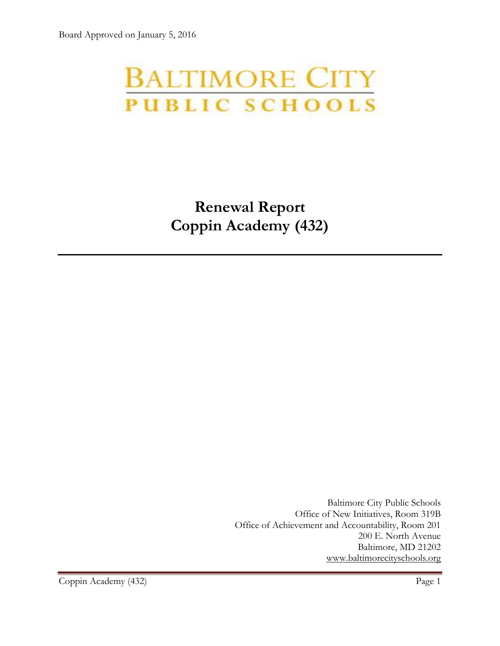# **BALTIMORE CITY** PUBLIC SCHOOLS

**Renewal Report Coppin Academy (432)**

> Baltimore City Public Schools Office of New Initiatives, Room 319B Office of Achievement and Accountability, Room 201 200 E. North Avenue Baltimore, MD 21202 [www.baltimorecityschools.org](http://www.baltimorecityschools.org/)

Coppin Academy (432) Page 1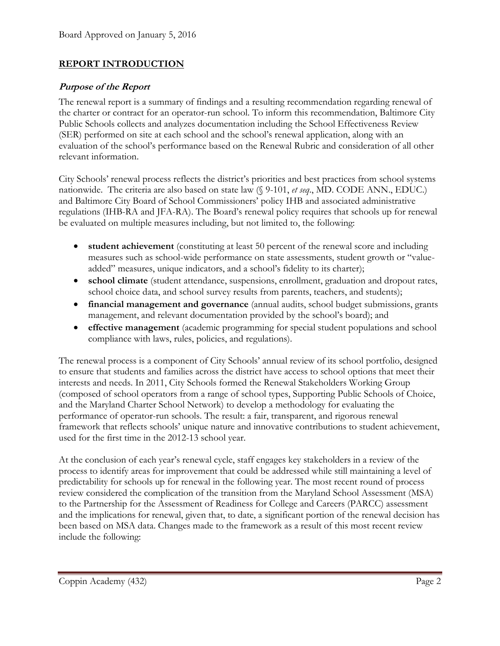#### **REPORT INTRODUCTION**

#### **Purpose of the Report**

The renewal report is a summary of findings and a resulting recommendation regarding renewal of the charter or contract for an operator-run school. To inform this recommendation, Baltimore City Public Schools collects and analyzes documentation including the School Effectiveness Review (SER) performed on site at each school and the school's renewal application, along with an evaluation of the school's performance based on the Renewal Rubric and consideration of all other relevant information.

City Schools' renewal process reflects the district's priorities and best practices from school systems nationwide. The criteria are also based on state law (§ 9-101, *et seq*., MD. CODE ANN., EDUC.) and Baltimore City Board of School Commissioners' policy IHB and associated administrative regulations (IHB-RA and JFA-RA). The Board's renewal policy requires that schools up for renewal be evaluated on multiple measures including, but not limited to, the following:

- **student achievement** (constituting at least 50 percent of the renewal score and including measures such as school-wide performance on state assessments, student growth or "valueadded" measures, unique indicators, and a school's fidelity to its charter);
- **school climate** (student attendance, suspensions, enrollment, graduation and dropout rates, school choice data, and school survey results from parents, teachers, and students);
- **financial management and governance** (annual audits, school budget submissions, grants management, and relevant documentation provided by the school's board); and
- **effective management** (academic programming for special student populations and school compliance with laws, rules, policies, and regulations).

The renewal process is a component of City Schools' annual review of its school portfolio, designed to ensure that students and families across the district have access to school options that meet their interests and needs. In 2011, City Schools formed the Renewal Stakeholders Working Group (composed of school operators from a range of school types, Supporting Public Schools of Choice, and the Maryland Charter School Network) to develop a methodology for evaluating the performance of operator-run schools. The result: a fair, transparent, and rigorous renewal framework that reflects schools' unique nature and innovative contributions to student achievement, used for the first time in the 2012-13 school year.

At the conclusion of each year's renewal cycle, staff engages key stakeholders in a review of the process to identify areas for improvement that could be addressed while still maintaining a level of predictability for schools up for renewal in the following year. The most recent round of process review considered the complication of the transition from the Maryland School Assessment (MSA) to the Partnership for the Assessment of Readiness for College and Careers (PARCC) assessment and the implications for renewal, given that, to date, a significant portion of the renewal decision has been based on MSA data. Changes made to the framework as a result of this most recent review include the following: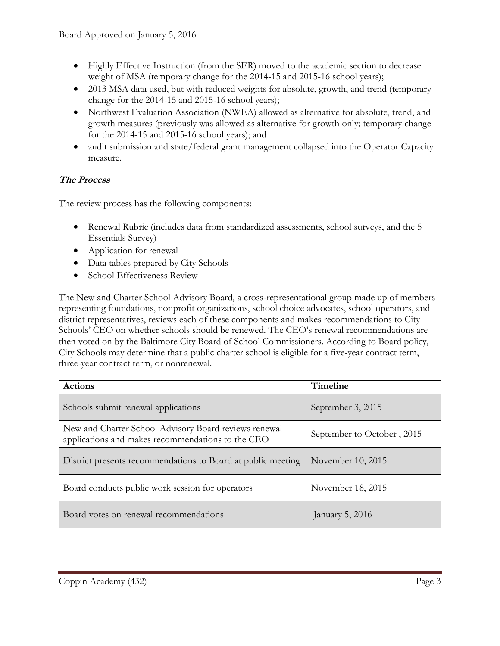- Highly Effective Instruction (from the SER) moved to the academic section to decrease weight of MSA (temporary change for the 2014-15 and 2015-16 school years);
- 2013 MSA data used, but with reduced weights for absolute, growth, and trend (temporary change for the 2014-15 and 2015-16 school years);
- Northwest Evaluation Association (NWEA) allowed as alternative for absolute, trend, and growth measures (previously was allowed as alternative for growth only; temporary change for the 2014-15 and 2015-16 school years); and
- audit submission and state/federal grant management collapsed into the Operator Capacity measure.

#### **The Process**

The review process has the following components:

- Renewal Rubric (includes data from standardized assessments, school surveys, and the 5 Essentials Survey)
- Application for renewal
- Data tables prepared by City Schools
- School Effectiveness Review

The New and Charter School Advisory Board, a cross-representational group made up of members representing foundations, nonprofit organizations, school choice advocates, school operators, and district representatives, reviews each of these components and makes recommendations to City Schools' CEO on whether schools should be renewed. The CEO's renewal recommendations are then voted on by the Baltimore City Board of School Commissioners. According to Board policy, City Schools may determine that a public charter school is eligible for a five-year contract term, three-year contract term, or nonrenewal.

| <b>Actions</b>                                                                                             | Timeline                   |  |
|------------------------------------------------------------------------------------------------------------|----------------------------|--|
| Schools submit renewal applications                                                                        | September 3, 2015          |  |
| New and Charter School Advisory Board reviews renewal<br>applications and makes recommendations to the CEO | September to October, 2015 |  |
| District presents recommendations to Board at public meeting                                               | November $10, 2015$        |  |
| Board conducts public work session for operators                                                           | November 18, 2015          |  |
| Board votes on renewal recommendations                                                                     | January 5, 2016            |  |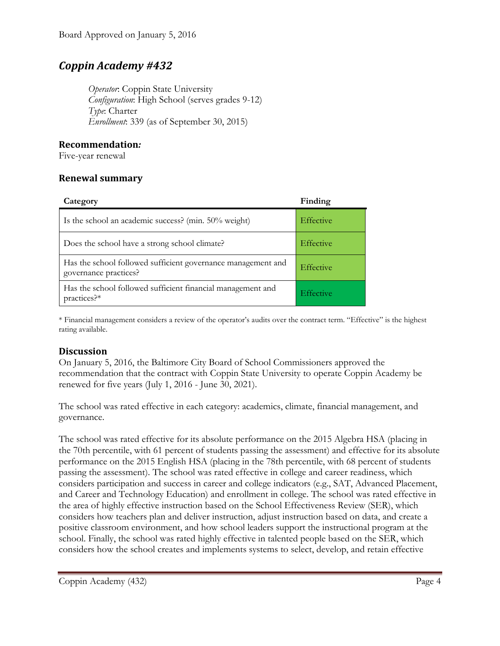## *Coppin Academy #432*

*Operator*: Coppin State University *Configuration*: High School (serves grades 9-12) *Type*: Charter *Enrollment*: 339 (as of September 30, 2015)

#### **Recommendation***:*

Five-year renewal

#### **Renewal summary**

| Category                                                                              | Finding          |
|---------------------------------------------------------------------------------------|------------------|
| Is the school an academic success? (min. 50% weight)                                  | <b>Effective</b> |
| Does the school have a strong school climate?                                         | Effective        |
| Has the school followed sufficient governance management and<br>governance practices? | Effective        |
| Has the school followed sufficient financial management and<br>practices?*            | <b>Effective</b> |

\* Financial management considers a review of the operator's audits over the contract term. "Effective" is the highest rating available.

#### **Discussion**

On January 5, 2016, the Baltimore City Board of School Commissioners approved the recommendation that the contract with Coppin State University to operate Coppin Academy be renewed for five years (July 1, 2016 - June 30, 2021).

The school was rated effective in each category: academics, climate, financial management, and governance.

The school was rated effective for its absolute performance on the 2015 Algebra HSA (placing in the 70th percentile, with 61 percent of students passing the assessment) and effective for its absolute performance on the 2015 English HSA (placing in the 78th percentile, with 68 percent of students passing the assessment). The school was rated effective in college and career readiness, which considers participation and success in career and college indicators (e.g., SAT, Advanced Placement, and Career and Technology Education) and enrollment in college. The school was rated effective in the area of highly effective instruction based on the School Effectiveness Review (SER), which considers how teachers plan and deliver instruction, adjust instruction based on data, and create a positive classroom environment, and how school leaders support the instructional program at the school. Finally, the school was rated highly effective in talented people based on the SER, which considers how the school creates and implements systems to select, develop, and retain effective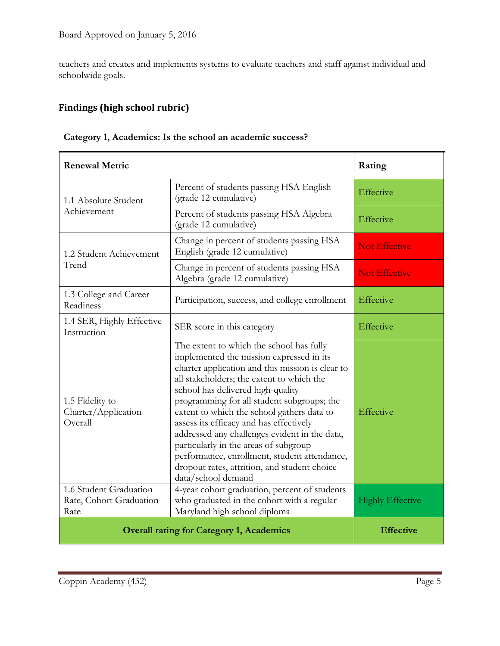teachers and creates and implements systems to evaluate teachers and staff against individual and schoolwide goals.

### **Findings (high school rubric)**

| Category 1, Academics: Is the school an academic success? |  |  |
|-----------------------------------------------------------|--|--|
|                                                           |  |  |

| <b>Renewal Metric</b>                                     |                                                                                                                                                                                                                                                                                                                                                                                                                                                                                                                                                                                   | Rating                  |
|-----------------------------------------------------------|-----------------------------------------------------------------------------------------------------------------------------------------------------------------------------------------------------------------------------------------------------------------------------------------------------------------------------------------------------------------------------------------------------------------------------------------------------------------------------------------------------------------------------------------------------------------------------------|-------------------------|
| 1.1 Absolute Student<br>Achievement                       | Percent of students passing HSA English<br>(grade 12 cumulative)                                                                                                                                                                                                                                                                                                                                                                                                                                                                                                                  | Effective               |
|                                                           | Percent of students passing HSA Algebra<br>(grade 12 cumulative)                                                                                                                                                                                                                                                                                                                                                                                                                                                                                                                  | Effective               |
| 1.2 Student Achievement<br>Trend                          | Change in percent of students passing HSA<br>English (grade 12 cumulative)                                                                                                                                                                                                                                                                                                                                                                                                                                                                                                        | <b>Not Effective</b>    |
|                                                           | Change in percent of students passing HSA<br>Algebra (grade 12 cumulative)                                                                                                                                                                                                                                                                                                                                                                                                                                                                                                        | <b>Not Effective</b>    |
| 1.3 College and Career<br>Readiness                       | Participation, success, and college enrollment                                                                                                                                                                                                                                                                                                                                                                                                                                                                                                                                    | Effective               |
| 1.4 SER, Highly Effective<br>Instruction                  | SER score in this category                                                                                                                                                                                                                                                                                                                                                                                                                                                                                                                                                        | Effective               |
| 1.5 Fidelity to<br>Charter/Application<br>Overall         | The extent to which the school has fully<br>implemented the mission expressed in its<br>charter application and this mission is clear to<br>all stakeholders; the extent to which the<br>school has delivered high-quality<br>programming for all student subgroups; the<br>extent to which the school gathers data to<br>assess its efficacy and has effectively<br>addressed any challenges evident in the data,<br>particularly in the areas of subgroup<br>performance, enrollment, student attendance,<br>dropout rates, attrition, and student choice<br>data/school demand | Effective               |
| 1.6 Student Graduation<br>Rate, Cohort Graduation<br>Rate | 4-year cohort graduation, percent of students<br>who graduated in the cohort with a regular<br>Maryland high school diploma                                                                                                                                                                                                                                                                                                                                                                                                                                                       | <b>Highly Effective</b> |
|                                                           | <b>Overall rating for Category 1, Academics</b>                                                                                                                                                                                                                                                                                                                                                                                                                                                                                                                                   | <b>Effective</b>        |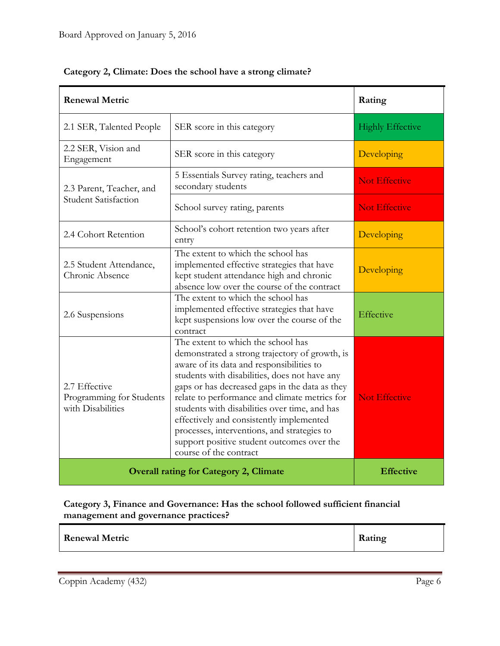| <b>Renewal Metric</b>                                          |                                                                                                                                                                                                                                                                                                                                                                                                                                                                                                           | Rating                  |
|----------------------------------------------------------------|-----------------------------------------------------------------------------------------------------------------------------------------------------------------------------------------------------------------------------------------------------------------------------------------------------------------------------------------------------------------------------------------------------------------------------------------------------------------------------------------------------------|-------------------------|
| 2.1 SER, Talented People                                       | SER score in this category                                                                                                                                                                                                                                                                                                                                                                                                                                                                                | <b>Highly Effective</b> |
| 2.2 SER, Vision and<br>Engagement                              | SER score in this category                                                                                                                                                                                                                                                                                                                                                                                                                                                                                | Developing              |
| 2.3 Parent, Teacher, and                                       | 5 Essentials Survey rating, teachers and<br>secondary students                                                                                                                                                                                                                                                                                                                                                                                                                                            | <b>Not Effective</b>    |
| <b>Student Satisfaction</b>                                    | School survey rating, parents                                                                                                                                                                                                                                                                                                                                                                                                                                                                             | <b>Not Effective</b>    |
| 2.4 Cohort Retention                                           | School's cohort retention two years after<br>entry                                                                                                                                                                                                                                                                                                                                                                                                                                                        | Developing              |
| 2.5 Student Attendance,<br>Chronic Absence                     | The extent to which the school has<br>implemented effective strategies that have<br>kept student attendance high and chronic<br>absence low over the course of the contract                                                                                                                                                                                                                                                                                                                               | Developing              |
| 2.6 Suspensions                                                | The extent to which the school has<br>implemented effective strategies that have<br>kept suspensions low over the course of the<br>contract                                                                                                                                                                                                                                                                                                                                                               | Effective               |
| 2.7 Effective<br>Programming for Students<br>with Disabilities | The extent to which the school has<br>demonstrated a strong trajectory of growth, is<br>aware of its data and responsibilities to<br>students with disabilities, does not have any<br>gaps or has decreased gaps in the data as they<br>relate to performance and climate metrics for<br>students with disabilities over time, and has<br>effectively and consistently implemented<br>processes, interventions, and strategies to<br>support positive student outcomes over the<br>course of the contract | <b>Not Effective</b>    |
|                                                                | <b>Overall rating for Category 2, Climate</b>                                                                                                                                                                                                                                                                                                                                                                                                                                                             | <b>Effective</b>        |

#### **Category 2, Climate: Does the school have a strong climate?**

**Category 3, Finance and Governance: Has the school followed sufficient financial management and governance practices?**

| <b>Renewal Metric</b><br>Rating |  |
|---------------------------------|--|
|---------------------------------|--|